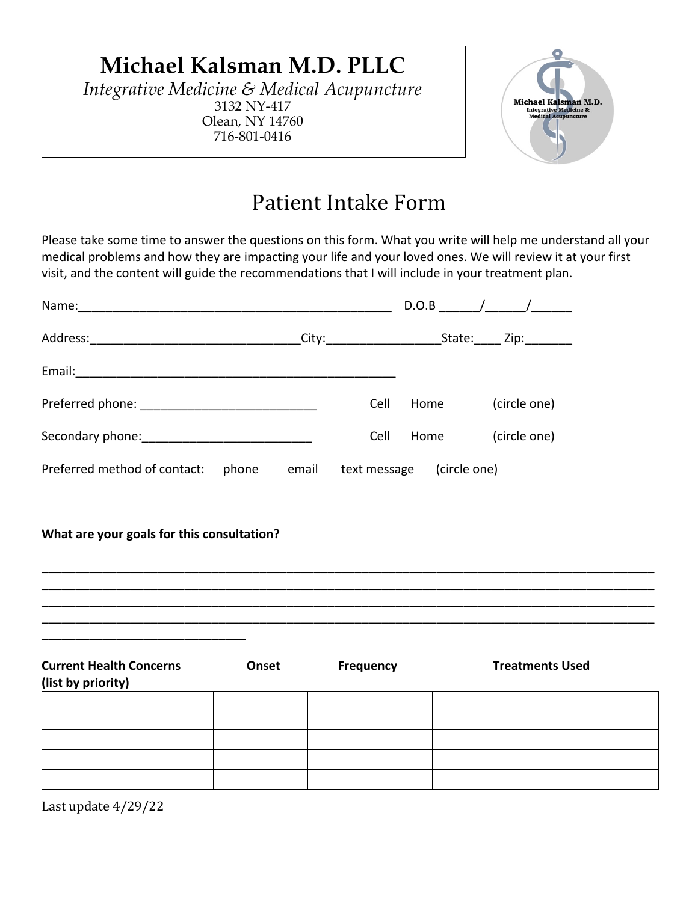# **Michael Kalsman M.D. PLLC**

*Integrative Medicine & Medical Acupuncture* 3132 NY-417 Olean, NY 14760 716-801-0416



# Patient Intake Form

Please take some time to answer the questions on this form. What you write will help me understand all your medical problems and how they are impacting your life and your loved ones. We will review it at your first visit, and the content will guide the recommendations that I will include in your treatment plan.

| Name:                                 |       |              |      | $D.O.B$ $\qquad$ $\qquad$ $\qquad$ $\qquad$ $\qquad$ $\qquad$ $\qquad$ $\qquad$ $\qquad$ $\qquad$ $\qquad$ $\qquad$ $\qquad$ $\qquad$ $\qquad$ $\qquad$ $\qquad$ $\qquad$ $\qquad$ $\qquad$ $\qquad$ $\qquad$ $\qquad$ $\qquad$ $\qquad$ $\qquad$ $\qquad$ $\qquad$ $\qquad$ $\qquad$ $\qquad$ $\qquad$ $\qquad$ $\qquad$ $\qquad$ $\qquad$ |
|---------------------------------------|-------|--------------|------|---------------------------------------------------------------------------------------------------------------------------------------------------------------------------------------------------------------------------------------------------------------------------------------------------------------------------------------------|
|                                       |       |              |      | State: Zip:                                                                                                                                                                                                                                                                                                                                 |
| Email:                                |       |              |      |                                                                                                                                                                                                                                                                                                                                             |
|                                       |       | Cell         | Home | (circle one)                                                                                                                                                                                                                                                                                                                                |
|                                       |       | Cell         | Home | (circle one)                                                                                                                                                                                                                                                                                                                                |
| Preferred method of contact:<br>phone | email | text message |      | (circle one)                                                                                                                                                                                                                                                                                                                                |

**What are your goals for this consultation?**



| <b>Current Health Concerns</b><br>(list by priority) | Onset | <b>Frequency</b> | <b>Treatments Used</b> |
|------------------------------------------------------|-------|------------------|------------------------|
|                                                      |       |                  |                        |
|                                                      |       |                  |                        |
|                                                      |       |                  |                        |
|                                                      |       |                  |                        |
|                                                      |       |                  |                        |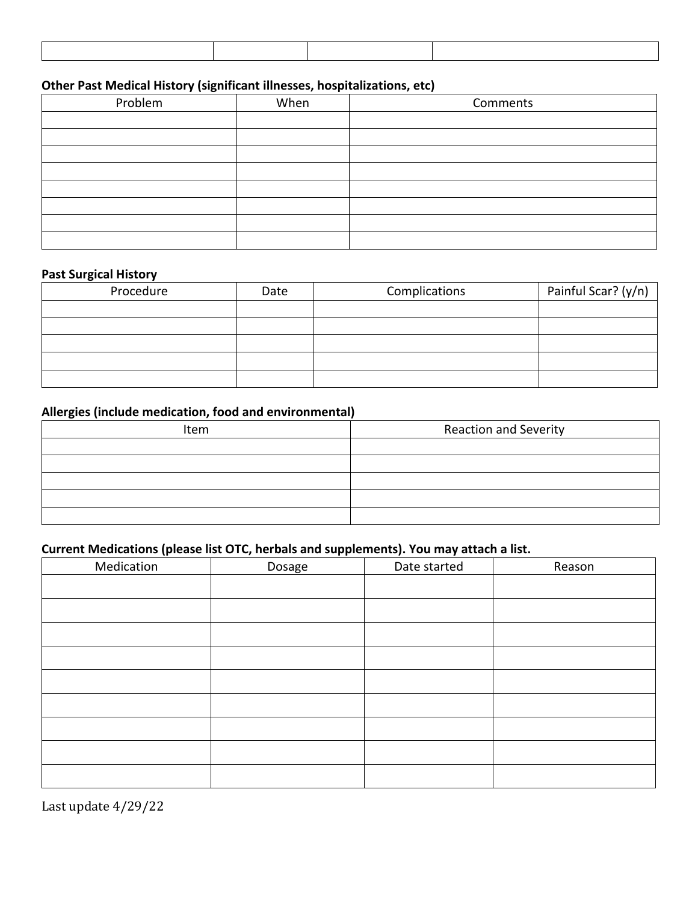## **Other Past Medical History (significant illnesses, hospitalizations, etc)**

| Problem | When | Comments |
|---------|------|----------|
|         |      |          |
|         |      |          |
|         |      |          |
|         |      |          |
|         |      |          |
|         |      |          |
|         |      |          |
|         |      |          |

#### **Past Surgical History**

| Procedure | Date | Complications | Painful Scar? (y/n) |
|-----------|------|---------------|---------------------|
|           |      |               |                     |
|           |      |               |                     |
|           |      |               |                     |
|           |      |               |                     |
|           |      |               |                     |

### **Allergies (include medication, food and environmental)**

| Item | <b>Reaction and Severity</b> |
|------|------------------------------|
|      |                              |
|      |                              |
|      |                              |
|      |                              |
|      |                              |

## **Current Medications (please list OTC, herbals and supplements). You may attach a list.**

| Medication | Dosage | Date started | Reason |
|------------|--------|--------------|--------|
|            |        |              |        |
|            |        |              |        |
|            |        |              |        |
|            |        |              |        |
|            |        |              |        |
|            |        |              |        |
|            |        |              |        |
|            |        |              |        |
|            |        |              |        |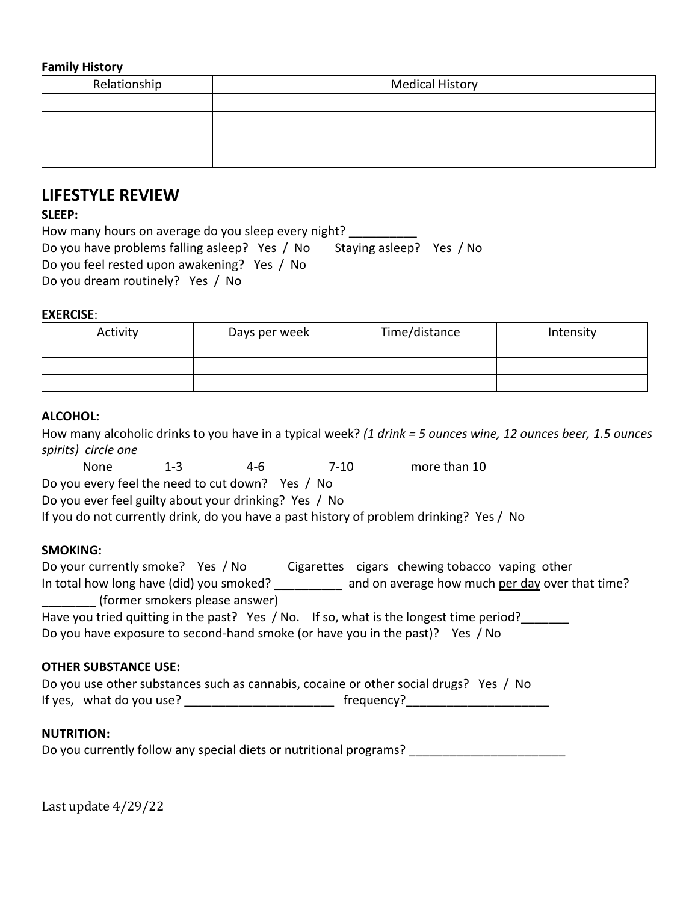#### **Family History**

| Relationship | <b>Medical History</b> |
|--------------|------------------------|
|              |                        |
|              |                        |
|              |                        |
|              |                        |

# **LIFESTYLE REVIEW**

#### **SLEEP:**

How many hours on average do you sleep every night? \_\_\_\_\_\_\_\_\_\_\_\_\_\_\_\_\_\_\_\_\_\_\_\_\_\_\_\_\_<br>Do you have problems falling asleep? Yes / No Staying asleep? Yes / No Do you have problems falling asleep? Yes / No Do you feel rested upon awakening? Yes / No Do you dream routinely? Yes / No

#### **EXERCISE**:

| Activity | Days per week | Time/distance | Intensity |
|----------|---------------|---------------|-----------|
|          |               |               |           |
|          |               |               |           |
|          |               |               |           |

### **ALCOHOL:**

|                                                       |  | How many alcoholic drinks to you have in a typical week? (1 drink = 5 ounces wine, 12 ounces beer, 1.5 ounces |
|-------------------------------------------------------|--|---------------------------------------------------------------------------------------------------------------|
| spirits) circle one                                   |  |                                                                                                               |
|                                                       |  | None 1-3 4-6 7-10 more than 10                                                                                |
| Do you every feel the need to cut down? Yes / No      |  |                                                                                                               |
| Do you ever feel guilty about your drinking? Yes / No |  |                                                                                                               |
|                                                       |  | If you do not currently drink, do you have a past history of problem drinking? Yes / No                       |
| <b>SMOKING:</b>                                       |  |                                                                                                               |
|                                                       |  |                                                                                                               |
| __________ (former smokers please answer)             |  | In total how long have (did) you smoked? _________ and on average how much per day over that time?            |
|                                                       |  | Have you tried quitting in the past? Yes / No. If so, what is the longest time period?______                  |
|                                                       |  | Do you have exposure to second-hand smoke (or have you in the past)? Yes / No                                 |
| <b>OTHER SUBSTANCE USE:</b>                           |  |                                                                                                               |
|                                                       |  | Do you use other substances such as cannabis, cocaine or other social drugs? Yes / No                         |
|                                                       |  |                                                                                                               |
| <b>NUTRITION:</b>                                     |  |                                                                                                               |

Do you currently follow any special diets or nutritional programs? \_\_\_\_\_\_\_\_\_\_\_\_\_\_\_\_\_\_\_\_\_\_\_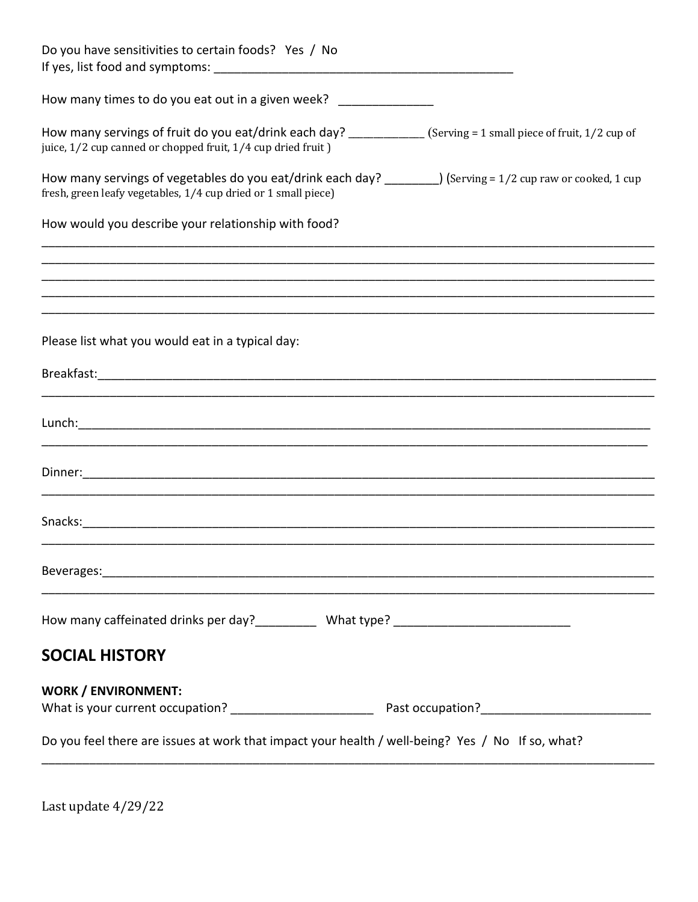| Do you have sensitivities to certain foods? Yes / No                                                                                                                             |
|----------------------------------------------------------------------------------------------------------------------------------------------------------------------------------|
| How many times to do you eat out in a given week?                                                                                                                                |
| How many servings of fruit do you eat/drink each day? ____________ (Serving = 1 small piece of fruit, 1/2 cup of<br>juice, 1/2 cup canned or chopped fruit, 1/4 cup dried fruit) |
| How many servings of vegetables do you eat/drink each day? ________) (Serving = $1/2$ cup raw or cooked, 1 cup<br>fresh, green leafy vegetables, 1/4 cup dried or 1 small piece) |
| How would you describe your relationship with food?                                                                                                                              |
|                                                                                                                                                                                  |
|                                                                                                                                                                                  |
| Please list what you would eat in a typical day:                                                                                                                                 |
|                                                                                                                                                                                  |
|                                                                                                                                                                                  |
|                                                                                                                                                                                  |
|                                                                                                                                                                                  |
| ,我们就会在这里的人,我们就会在这里的人,我们就会在这里的人,我们就会在这里,我们就会在这里的人,我们就会在这里的人,我们就会在这里的人,我们就会在这里,我们就                                                                                                 |
|                                                                                                                                                                                  |
| <b>SOCIAL HISTORY</b>                                                                                                                                                            |
| <b>WORK / ENVIRONMENT:</b>                                                                                                                                                       |
| Do you feel there are issues at work that impact your health / well-being? Yes / No If so, what?                                                                                 |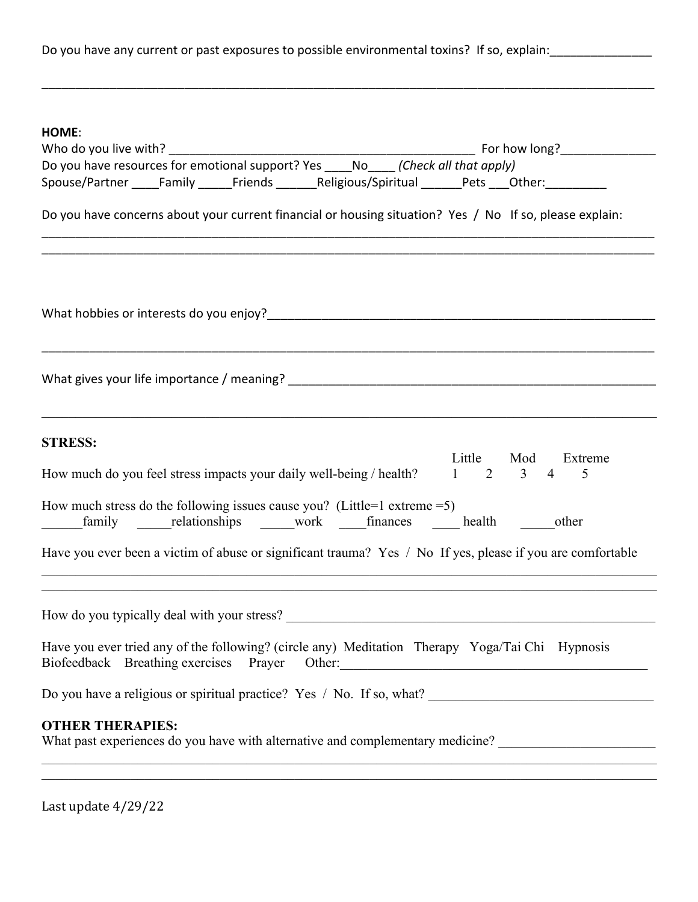Do you have any current or past exposures to possible environmental toxins? If so, explain:

\_\_\_\_\_\_\_\_\_\_\_\_\_\_\_\_\_\_\_\_\_\_\_\_\_\_\_\_\_\_\_\_\_\_\_\_\_\_\_\_\_\_\_\_\_\_\_\_\_\_\_\_\_\_\_\_\_\_\_\_\_\_\_\_\_\_\_\_\_\_\_\_\_\_\_\_\_\_\_\_\_\_\_\_\_\_\_\_\_\_

| HOME:                                                                                                                                                                                                                                         |  |
|-----------------------------------------------------------------------------------------------------------------------------------------------------------------------------------------------------------------------------------------------|--|
|                                                                                                                                                                                                                                               |  |
| Do you have resources for emotional support? Yes _____ No______ (Check all that apply)                                                                                                                                                        |  |
| Spouse/Partner _____Family ______Friends _______Religious/Spiritual ______Pets ___Other: __________                                                                                                                                           |  |
| Do you have concerns about your current financial or housing situation? Yes / No If so, please explain:                                                                                                                                       |  |
|                                                                                                                                                                                                                                               |  |
|                                                                                                                                                                                                                                               |  |
| <b>STRESS:</b><br>Little Mod<br>Extreme<br>How much do you feel stress impacts your daily well-being / health?<br>$1 \t2 \t3 \t4$<br>5                                                                                                        |  |
| How much stress do the following issues cause you? (Little=1 extreme = $5$ )<br>family relationships work finances health other<br>Have you ever been a victim of abuse or significant trauma? Yes / No If yes, please if you are comfortable |  |
|                                                                                                                                                                                                                                               |  |
|                                                                                                                                                                                                                                               |  |
| Have you ever tried any of the following? (circle any) Meditation Therapy Yoga/Tai Chi Hypnosis<br>Biofeedback Breathing exercises Prayer Other: 2008 Contract Contract Prayer Other:                                                         |  |
|                                                                                                                                                                                                                                               |  |
| <b>OTHER THERAPIES:</b><br>What past experiences do you have with alternative and complementary medicine? _______________________________                                                                                                     |  |